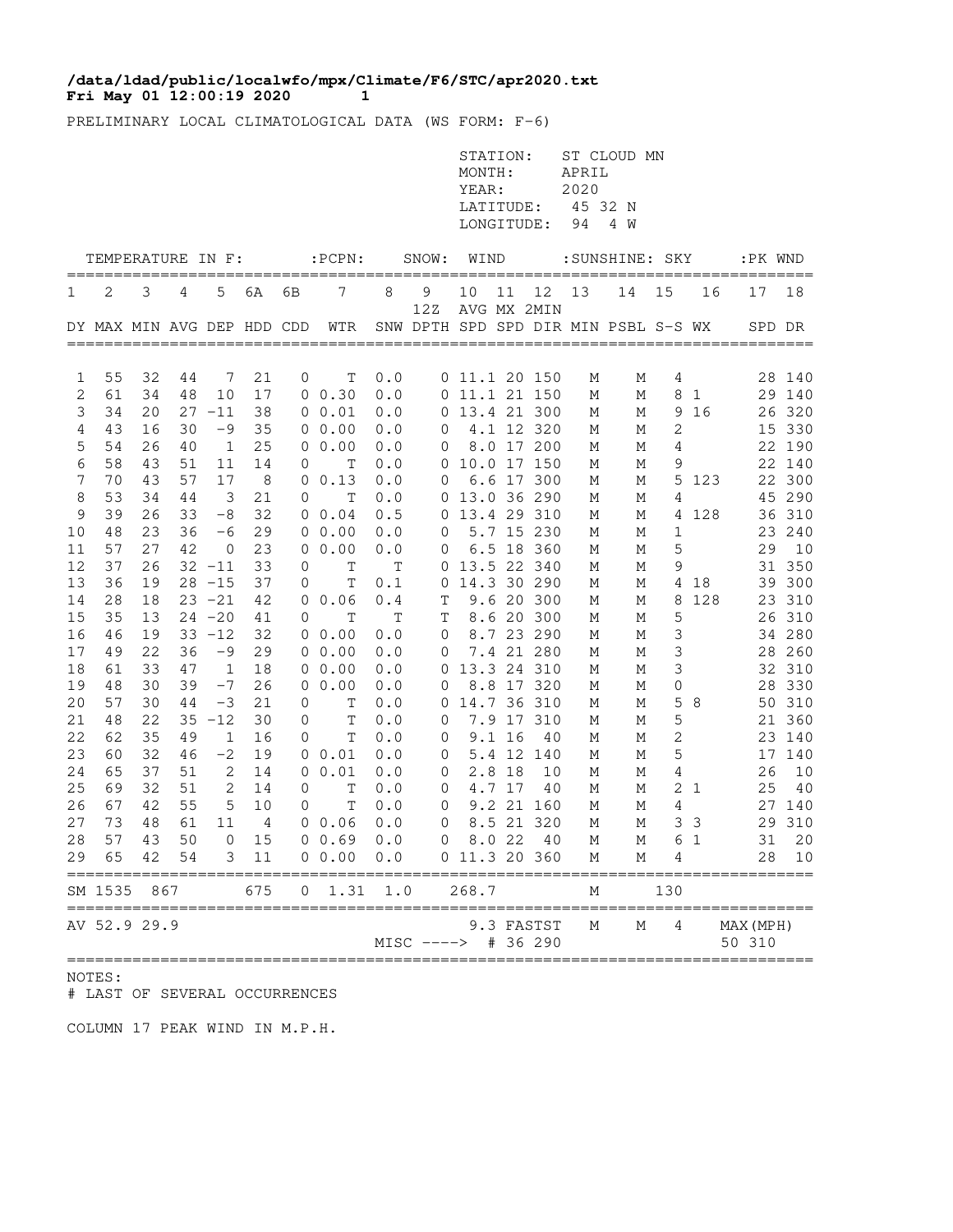## **Fri May 01 12:00:19 2020 1 /data/ldad/public/localwfo/mpx/Climate/F6/STC/apr2020.txt**

PRELIMINARY LOCAL CLIMATOLOGICAL DATA (WS FORM: F-6)

|                             |                                        |          |          |                |                |             |                                                                     |            |                         | STATION:<br>MONTH:<br>YEAR:<br>LONGITUDE: |        | LATITUDE: 45 32 N | APRIL<br>2020 | ST CLOUD MN<br>94 4 W |        |                |                     |                  |
|-----------------------------|----------------------------------------|----------|----------|----------------|----------------|-------------|---------------------------------------------------------------------|------------|-------------------------|-------------------------------------------|--------|-------------------|---------------|-----------------------|--------|----------------|---------------------|------------------|
|                             | TEMPERATURE IN F:<br>================= |          |          |                |                |             | $:$ $PCPN:$                                                         |            | SNOW: WIND              |                                           |        |                   |               | :SUNSHINE: SKY        |        |                | :PK WND             |                  |
| 1                           | 2                                      | 3        | 4        | 5              | 6A             | 6B          | 7                                                                   | 8          | 9<br>12Z                | 10                                        | 11     | 12 13             |               | 14 15                 |        | 16             | 17                  | 18               |
|                             |                                        |          |          |                |                |             | DY MAX MIN AVG DEP HDD CDD WTR SNW DPTH SPD SPD DIR MIN PSBL S-S WX |            |                         |                                           |        | AVG MX 2MIN       |               |                       |        |                |                     | SPD DR           |
| 1                           | 55                                     | 32       | 44       | -7             | 21             | $\circ$     | Т                                                                   | 0.0        |                         | $0$ 11.1 20 150                           |        |                   | М             | М                     | 4      |                |                     | 28 140           |
| $\mathbf{2}$                | 61                                     | 34       | 48       | 10             | 17             |             | 0 0.30                                                              | 0.0        |                         | 0 11.1 21 150                             |        |                   | М             | М                     |        | 8 1            |                     | 29 140           |
| 3                           | 34                                     | 20       |          | $27 - 11$      | 38             |             | 0 0.01                                                              | 0.0        |                         | 0 13.4 21 300                             |        |                   | М             | М                     |        | 9 16           |                     | 26 320           |
| $\overline{4}$              | 43                                     | 16       | 30       | -9             | 35             |             | $0\ 0.00$                                                           | 0.0        | $\overline{0}$          |                                           |        | 4.1 12 320        | М             | М                     | 2      |                |                     | 15 330           |
| 5                           | 54                                     | 26       | 40       | $\overline{1}$ | 25             |             | $0\;\;0.00$                                                         | 0.0        | $\overline{0}$          |                                           |        | 8.0 17 200        | М             | М                     | 4      |                |                     | 22 190           |
| 6                           | 58                                     | 43       | 51       | 11             | 14             | 0           | Т                                                                   | 0.0        |                         | 0 10.0 17 150                             |        |                   | М             | М                     | 9      |                |                     | 22 140           |
| $\boldsymbol{7}$<br>$\,8\,$ | 70<br>53                               | 43<br>34 | 57<br>44 | 17<br>3        | 8<br>21        | 0           | 0 0.13<br>$\mathbb T$                                               | 0.0<br>0.0 | 0                       | 0 13.0 36 290                             |        | 6.6 17 300        | М<br>М        | М<br>М                | 4      | 5 123          |                     | 22 300<br>45 290 |
| 9                           | 39                                     | 26       | 33       | $-8$           | 32             |             | 0 0.04                                                              | 0.5        |                         | 0 13.4 29 310                             |        |                   | М             | М                     |        | 4 128          |                     | 36 310           |
| 10                          | 48                                     | 23       | 36       | $-6$           | 29             |             | 0, 0.00                                                             | 0.0        | $\circ$                 |                                           |        | 5.7 15 230        | М             | М                     | 1      |                |                     | 23 240           |
| 11                          | 57                                     | 27       | 42       | $\overline{0}$ | 23             |             | 0 0.00                                                              | 0.0        | $\overline{0}$          |                                           |        | 6.5 18 360        | М             | М                     | 5      |                | 29                  | 10               |
| 12                          | 37                                     | 26       |          | $32 - 11$      | 33             | 0           | $\mathbf T$                                                         | Т          |                         | 0 13.5 22 340                             |        |                   | М             | М                     | 9      |                |                     | 31 350           |
| 13                          | 36                                     | 19       |          | $28 - 15$      | 37             | 0           | Τ                                                                   | 0.1        |                         | 0 14.3 30 290                             |        |                   | М             | М                     |        | 4 18           |                     | 39 300           |
| 14                          | 28                                     | 18       |          | $23 - 21$      | 42             |             | 0 0.06                                                              | 0.4        | T                       |                                           |        | 9.6 20 300        | М             | М                     | 8      | 128            |                     | 23 310           |
| 15                          | 35                                     | 13       |          | $24 - 20$      | 41             | 0           | $\mathbf T$                                                         | T          | $\mathbb T$             |                                           |        | 8.6 20 300        | М             | М                     | 5      |                |                     | 26 310           |
| 16                          | 46                                     | 19       |          | $33 - 12$      | 32             |             | $0\;\;0.00$                                                         | 0.0        | $\overline{0}$          |                                           |        | 8.7 23 290        | М             | М                     | 3      |                |                     | 34 280           |
| 17                          | 49                                     | 22       | 36       | $-9$           | 29             |             | 0 0.00                                                              | 0.0        | $\overline{0}$          |                                           |        | 7.4 21 280        | М             | М                     | 3      |                |                     | 28 260           |
| 18                          | 61                                     | 33       | 47       | $\overline{1}$ | 18             |             | 00.00                                                               | 0.0        |                         | 0 13.3 24 310                             |        |                   | М             | М                     | 3      |                |                     | 32 310           |
| 19                          | 48                                     | 30       | 39       | $-7$           | 26             |             | $0\;\;0.00$                                                         | 0.0        | 0                       |                                           |        | 8.8 17 320        | М             | М                     | 0      |                |                     | 28 330           |
| 20                          | 57                                     | 30       | 44       | $-3$           | 21             | 0           | T                                                                   | 0.0        |                         | 0 14.7 36 310                             |        |                   | М             | М                     | 5      | - 8            |                     | 50 310           |
| 21<br>22                    | 48<br>62                               | 22<br>35 | 49       | $35 - 12$<br>1 | 30<br>16       | 0<br>0      | T<br>Т                                                              | 0.0<br>0.0 | $\circ$<br>0            |                                           | 9.1 16 | 7.9 17 310<br>40  | М<br>М        | М<br>М                | 5<br>2 |                |                     | 21 360<br>23 140 |
| 23                          | 60                                     | 32       | 46       | $-2$           | 19             |             | 0 0.01                                                              | 0.0        | $\mathbf 0$             |                                           |        | 5.4 12 140        | М             | М                     | 5      |                |                     | 17 140           |
| 24                          | 65                                     | 37       | 51       | 2              | 14             |             | 0 0.01                                                              | 0.0        | $\overline{0}$          |                                           | 2.8 18 | 10                | М             | М                     | 4      |                | 26                  | 10               |
| 25                          | 69                                     | 32       | 51       | 2              | 14             | $\mathbf 0$ | T                                                                   | 0.0        | $\circ$                 |                                           | 4.7 17 | 40                | М             | М                     |        | 2 <sub>1</sub> | 25                  | 40               |
| 26                          | 67                                     | 42       | 55       | 5              | 10             | 0           | $\mathbb T$                                                         | 0.0        | $\overline{0}$          |                                           |        | 9.2 21 160        | М             | М                     | 4      |                |                     | 27 140           |
| 27                          | 73                                     | 48       | 61       | 11             | $\overline{4}$ |             | 0 0.06                                                              | 0.0        | $\overline{0}$          |                                           |        | 8.5 21 320        | М             | М                     |        | 3 <sup>3</sup> |                     | 29 310           |
| 28                          | 57                                     | 43       |          |                |                |             | 50 0 15 0 0.69 0.0 0 8.0 22 40                                      |            |                         |                                           |        |                   |               | M M 6 1               |        |                |                     | 31 20            |
|                             | 29 65 42 54                            |          |          |                | 3 11           |             | 0 0.00 0.0 0 11.3 20 360                                            |            |                         |                                           |        |                   | M             | М                     | 4      |                |                     | 28 10            |
|                             | SM 1535 867                            |          |          |                | 675            |             | $0 \quad 1.31 \quad 1.0$                                            |            |                         | 268.7                                     |        |                   | М             |                       | 130    |                |                     |                  |
|                             | AV 52.9 29.9                           |          |          |                |                |             |                                                                     |            | $MISC$ ----> $# 36 290$ |                                           |        | 9.3 FASTST        | М             | М                     | 4      |                | MAX (MPH)<br>50 310 |                  |

NOTES:

# LAST OF SEVERAL OCCURRENCES

COLUMN 17 PEAK WIND IN M.P.H.